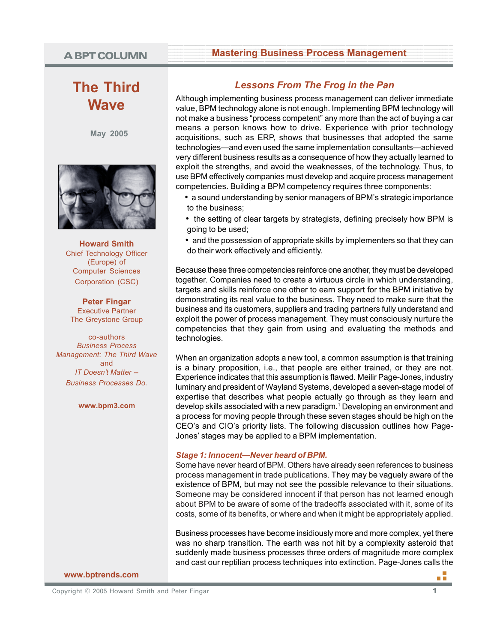# **A BPT COLUMN Mastering Business Process Management**

# **The Third Wave**

**May 2005**



**Howard Smith** Chief Technology Officer (Europe) of Computer Sciences Corporation (CSC)

**Peter Fingar** Executive Partner The Greystone Group

co-authors *Business Process Management: The Third Wave* and *IT Doesn't Matter -- Business Processes Do.*

**www.bpm3.com**

# *Lessons From The Frog in the Pan*

Although implementing business process management can deliver immediate value, BPM technology alone is not enough. Implementing BPM technology will not make a business "process competent" any more than the act of buying a car means a person knows how to drive. Experience with prior technology acquisitions, such as ERP, shows that businesses that adopted the same technologies—and even used the same implementation consultants—achieved very different business results as a consequence of how they actually learned to exploit the strengths, and avoid the weaknesses, of the technology. Thus, to use BPM effectively companies must develop and acquire process management competencies. Building a BPM competency requires three components:

- a sound understanding by senior managers of BPM's strategic importance to the business;
- the setting of clear targets by strategists, defining precisely how BPM is going to be used;
- and the possession of appropriate skills by implementers so that they can do their work effectively and efficiently.

Because these three competencies reinforce one another, they must be developed together. Companies need to create a virtuous circle in which understanding, targets and skills reinforce one other to earn support for the BPM initiative by demonstrating its real value to the business. They need to make sure that the business and its customers, suppliers and trading partners fully understand and exploit the power of process management. They must consciously nurture the competencies that they gain from using and evaluating the methods and technologies.

When an organization adopts a new tool, a common assumption is that training is a binary proposition, i.e., that people are either trained, or they are not. Experience indicates that this assumption is flawed. Meilir Page-Jones, industry luminary and president of Wayland Systems, developed a seven-stage model of expertise that describes what people actually go through as they learn and develop skills associated with a new paradigm.<sup>1</sup> Developing an environment and a process for moving people through these seven stages should be high on the CEO's and CIO's priority lists. The following discussion outlines how Page-Jones' stages may be applied to a BPM implementation.

### *Stage 1: Innocent—Never heard of BPM.*

Some have never heard of BPM. Others have already seen references to business process management in trade publications. They may be vaguely aware of the existence of BPM, but may not see the possible relevance to their situations. Someone may be considered innocent if that person has not learned enough about BPM to be aware of some of the tradeoffs associated with it, some of its costs, some of its benefits, or where and when it might be appropriately applied.

Business processes have become insidiously more and more complex, yet there was no sharp transition. The earth was not hit by a complexity asteroid that suddenly made business processes three orders of magnitude more complex and cast our reptilian process techniques into extinction. Page-Jones calls the

**www.bptrends.com**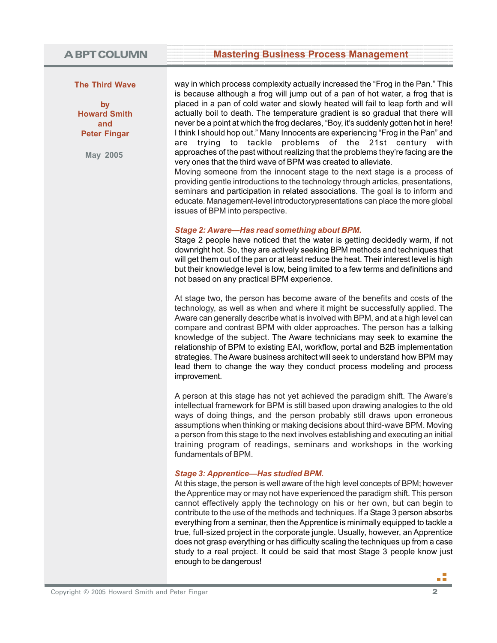#### **Example 20 Mastering Business Process Management**  $1 - 9$  9  $1 - 9$  9  $1 - 9$  9  $1 - 9$  9  $1 - 9$  9  $1 - 9$  9  $1 - 9$  9  $1 - 9$  9  $1 - 9$  9  $1 - 9$  9  $1 - 9$  9  $1 - 9$  9  $1 - 9$  9  $1 - 9$  9  $1 - 9$  9  $1 - 9$  9  $1 - 9$  9  $1 - 9$  9  $1 - 9$  9  $1 - 9$  9  $1 - 9$  9  $1 - 9$  9  $1 - 9$  9  $1 - 9$  9  $1 - 9$

#### **The Third Wave**

**by Howard Smith and Peter Fingar**

**May 2005**

way in which process complexity actually increased the "Frog in the Pan." This is because although a frog will jump out of a pan of hot water, a frog that is placed in a pan of cold water and slowly heated will fail to leap forth and will actually boil to death. The temperature gradient is so gradual that there will never be a point at which the frog declares, "Boy, it's suddenly gotten hot in here! I think I should hop out." Many Innocents are experiencing "Frog in the Pan" and are trying to tackle problems of the 21st century with approaches of the past without realizing that the problems they're facing are the very ones that the third wave of BPM was created to alleviate.

Moving someone from the innocent stage to the next stage is a process of providing gentle introductions to the technology through articles, presentations, seminars and participation in related associations. The goal is to inform and educate. Management-level introductorypresentations can place the more global issues of BPM into perspective.

#### *Stage 2: Aware—Has read something about BPM.*

Stage 2 people have noticed that the water is getting decidedly warm, if not downright hot. So, they are actively seeking BPM methods and techniques that will get them out of the pan or at least reduce the heat. Their interest level is high but their knowledge level is low, being limited to a few terms and definitions and not based on any practical BPM experience.

At stage two, the person has become aware of the benefits and costs of the technology, as well as when and where it might be successfully applied. The Aware can generally describe what is involved with BPM, and at a high level can compare and contrast BPM with older approaches. The person has a talking knowledge of the subject. The Aware technicians may seek to examine the relationship of BPM to existing EAI, workflow, portal and B2B implementation strategies. The Aware business architect will seek to understand how BPM may lead them to change the way they conduct process modeling and process improvement.

A person at this stage has not yet achieved the paradigm shift. The Aware's intellectual framework for BPM is still based upon drawing analogies to the old ways of doing things, and the person probably still draws upon erroneous assumptions when thinking or making decisions about third-wave BPM. Moving a person from this stage to the next involves establishing and executing an initial training program of readings, seminars and workshops in the working fundamentals of BPM.

### *Stage 3: Apprentice—Has studied BPM.*

At this stage, the person is well aware of the high level concepts of BPM; however the Apprentice may or may not have experienced the paradigm shift. This person cannot effectively apply the technology on his or her own, but can begin to contribute to the use of the methods and techniques. If a Stage 3 person absorbs everything from a seminar, then the Apprentice is minimally equipped to tackle a true, full-sized project in the corporate jungle. Usually, however, an Apprentice does not grasp everything or has difficulty scaling the techniques up from a case study to a real project. It could be said that most Stage 3 people know just enough to be dangerous!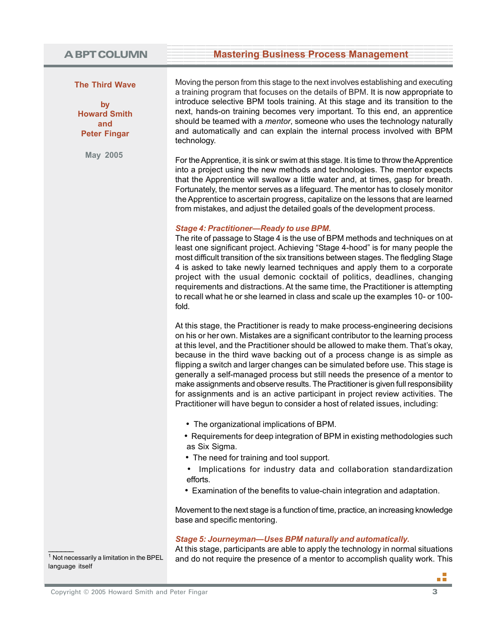#### **Example 20 Mastering Business Process Management**  $1 - 9$  9  $1 - 9$  9  $1 - 9$  9  $1 - 9$  9  $1 - 9$  9  $1 - 9$  9  $1 - 9$  9  $1 - 9$  9  $1 - 9$  9  $1 - 9$  9  $1 - 9$  9  $1 - 9$  9  $1 - 9$  9  $1 - 9$  9  $1 - 9$  9  $1 - 9$  9  $1 - 9$  9  $1 - 9$  9  $1 - 9$  9  $1 - 9$  9  $1 - 9$  9  $1 - 9$  9  $1 - 9$  9  $1 - 9$  9  $1 - 9$

#### **The Third Wave**

**by Howard Smith and Peter Fingar**

**May 2005**

Moving the person from this stage to the next involves establishing and executing a training program that focuses on the details of BPM. It is now appropriate to introduce selective BPM tools training. At this stage and its transition to the next, hands-on training becomes very important. To this end, an apprentice should be teamed with a *mentor*, someone who uses the technology naturally and automatically and can explain the internal process involved with BPM technology.

For the Apprentice, it is sink or swim at this stage. It is time to throw the Apprentice into a project using the new methods and technologies. The mentor expects that the Apprentice will swallow a little water and, at times, gasp for breath. Fortunately, the mentor serves as a lifeguard. The mentor has to closely monitor the Apprentice to ascertain progress, capitalize on the lessons that are learned from mistakes, and adjust the detailed goals of the development process.

#### *Stage 4: Practitioner—Ready to use BPM.*

The rite of passage to Stage 4 is the use of BPM methods and techniques on at least one significant project. Achieving "Stage 4-hood" is for many people the most difficult transition of the six transitions between stages. The fledgling Stage 4 is asked to take newly learned techniques and apply them to a corporate project with the usual demonic cocktail of politics, deadlines, changing requirements and distractions. At the same time, the Practitioner is attempting to recall what he or she learned in class and scale up the examples 10- or 100 fold.

At this stage, the Practitioner is ready to make process-engineering decisions on his or her own. Mistakes are a significant contributor to the learning process at this level, and the Practitioner should be allowed to make them. That's okay, because in the third wave backing out of a process change is as simple as flipping a switch and larger changes can be simulated before use. This stage is generally a self-managed process but still needs the presence of a mentor to make assignments and observe results. The Practitioner is given full responsibility for assignments and is an active participant in project review activities. The Practitioner will have begun to consider a host of related issues, including:

- The organizational implications of BPM.
- Requirements for deep integration of BPM in existing methodologies such as Six Sigma.
- The need for training and tool support.
- Implications for industry data and collaboration standardization efforts.
- Examination of the benefits to value-chain integration and adaptation.

Movement to the next stage is a function of time, practice, an increasing knowledge base and specific mentoring.

#### *Stage 5: Journeyman—Uses BPM naturally and automatically.*

At this stage, participants are able to apply the technology in normal situations and do not require the presence of a mentor to accomplish quality work. This

 $1$  Not necessarily a limitation in the BPEL language itself

 $\overline{\phantom{a}}$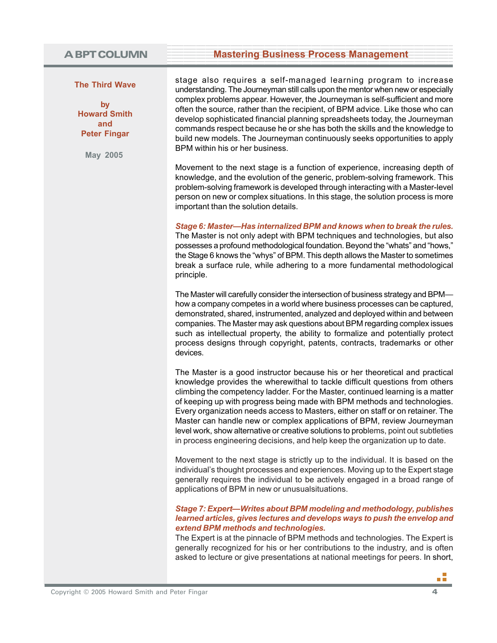#### **The Third Wave**

**by Howard Smith and Peter Fingar**

**May 2005**

**Example 20 Mastering Business Process Management**  $1 - 9$  9  $1 - 9$  9  $1 - 9$  9  $1 - 9$  9  $1 - 9$  9  $1 - 9$  9  $1 - 9$  9  $1 - 9$  9  $1 - 9$  9  $1 - 9$  9  $1 - 9$  9  $1 - 9$  9  $1 - 9$  9  $1 - 9$  9  $1 - 9$  9  $1 - 9$  9  $1 - 9$  9  $1 - 9$  9  $1 - 9$  9  $1 - 9$  9  $1 - 9$  9  $1 - 9$  9  $1 - 9$  9  $1 - 9$  9  $1 - 9$ 

stage also requires a self-managed learning program to increase understanding. The Journeyman still calls upon the mentor when new or especially complex problems appear. However, the Journeyman is self-sufficient and more often the source, rather than the recipient, of BPM advice. Like those who can develop sophisticated financial planning spreadsheets today, the Journeyman commands respect because he or she has both the skills and the knowledge to build new models. The Journeyman continuously seeks opportunities to apply BPM within his or her business.

Movement to the next stage is a function of experience, increasing depth of knowledge, and the evolution of the generic, problem-solving framework. This problem-solving framework is developed through interacting with a Master-level person on new or complex situations. In this stage, the solution process is more important than the solution details.

*Stage 6: Master—Has internalized BPM and knows when to break the rules.* The Master is not only adept with BPM techniques and technologies, but also possesses a profound methodological foundation. Beyond the "whats" and "hows," the Stage 6 knows the "whys" of BPM. This depth allows the Master to sometimes break a surface rule, while adhering to a more fundamental methodological principle.

The Master will carefully consider the intersection of business strategy and BPM how a company competes in a world where business processes can be captured, demonstrated, shared, instrumented, analyzed and deployed within and between companies. The Master may ask questions about BPM regarding complex issues such as intellectual property, the ability to formalize and potentially protect process designs through copyright, patents, contracts, trademarks or other devices.

The Master is a good instructor because his or her theoretical and practical knowledge provides the wherewithal to tackle difficult questions from others climbing the competency ladder. For the Master, continued learning is a matter of keeping up with progress being made with BPM methods and technologies. Every organization needs access to Masters, either on staff or on retainer. The Master can handle new or complex applications of BPM, review Journeyman level work, show alternative or creative solutions to problems, point out subtleties in process engineering decisions, and help keep the organization up to date.

Movement to the next stage is strictly up to the individual. It is based on the individual's thought processes and experiences. Moving up to the Expert stage generally requires the individual to be actively engaged in a broad range of applications of BPM in new or unusualsituations.

### *Stage 7: Expert—Writes about BPM modeling and methodology, publishes learned articles, gives lectures and develops ways to push the envelop and extend BPM methods and technologies.*

The Expert is at the pinnacle of BPM methods and technologies. The Expert is generally recognized for his or her contributions to the industry, and is often asked to lecture or give presentations at national meetings for peers. In short,